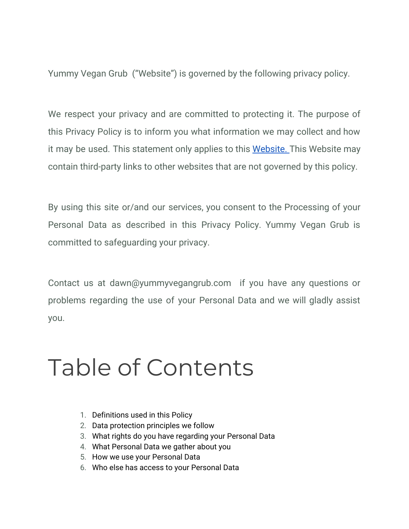Yummy Vegan Grub ("Website") is governed by the following privacy policy.

We respect your privacy and are committed to protecting it. The purpose of this Privacy Policy is to inform you what information we may collect and how it may be used. This statement only applies to this [Website.](http://www.yummyvegangrub.com/) This Website may contain third-party links to other websites that are not governed by this policy.

By using this site or/and our services, you consent to the Processing of your Personal Data as described in this Privacy Policy. Yummy Vegan Grub is committed to safeguarding your privacy.

Contact us at dawn@yummyvegangrub.com if you have any questions or problems regarding the use of your Personal Data and we will gladly assist you.

## Table of Contents

- 1. Definitions used in this Policy
- 2. Data protection principles we follow
- 3. What rights do you have regarding your Personal Data
- 4. What Personal Data we gather about you
- 5. How we use your Personal Data
- 6. Who else has access to your Personal Data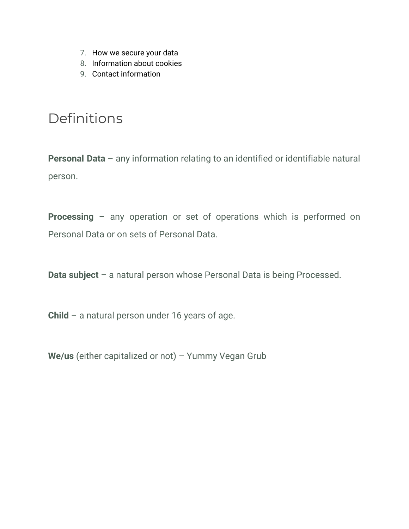- 7. How we secure your data
- 8. Information about cookies
- 9. Contact information

### Definitions

**Personal Data** – any information relating to an identified or identifiable natural person.

**Processing** – any operation or set of operations which is performed on Personal Data or on sets of Personal Data.

**Data subject** – a natural person whose Personal Data is being Processed.

**Child** – a natural person under 16 years of age.

**We/us** (either capitalized or not) – Yummy Vegan Grub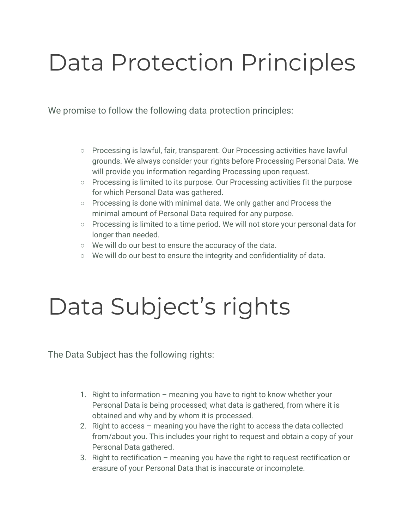## Data Protection Principles

We promise to follow the following data protection principles:

- Processing is lawful, fair, transparent. Our Processing activities have lawful grounds. We always consider your rights before Processing Personal Data. We will provide you information regarding Processing upon request.
- Processing is limited to its purpose. Our Processing activities fit the purpose for which Personal Data was gathered.
- Processing is done with minimal data. We only gather and Process the minimal amount of Personal Data required for any purpose.
- Processing is limited to a time period. We will not store your personal data for longer than needed.
- We will do our best to ensure the accuracy of the data.
- We will do our best to ensure the integrity and confidentiality of data.

## Data Subject's rights

The Data Subject has the following rights:

- 1. Right to information meaning you have to right to know whether your Personal Data is being processed; what data is gathered, from where it is obtained and why and by whom it is processed.
- 2. Right to access meaning you have the right to access the data collected from/about you. This includes your right to request and obtain a copy of your Personal Data gathered.
- 3. Right to rectification meaning you have the right to request rectification or erasure of your Personal Data that is inaccurate or incomplete.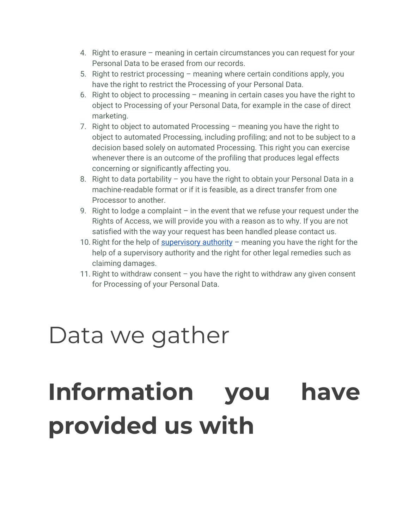- 4. Right to erasure meaning in certain circumstances you can request for your Personal Data to be erased from our records.
- 5. Right to restrict processing meaning where certain conditions apply, you have the right to restrict the Processing of your Personal Data.
- 6. Right to object to processing meaning in certain cases you have the right to object to Processing of your Personal Data, for example in the case of direct marketing.
- 7. Right to object to automated Processing meaning you have the right to object to automated Processing, including profiling; and not to be subject to a decision based solely on automated Processing. This right you can exercise whenever there is an outcome of the profiling that produces legal effects concerning or significantly affecting you.
- 8. Right to data portability you have the right to obtain your Personal Data in a machine-readable format or if it is feasible, as a direct transfer from one Processor to another.
- 9. Right to lodge a complaint  $-$  in the event that we refuse your request under the Rights of Access, we will provide you with a reason as to why. If you are not satisfied with the way your request has been handled please contact us.
- 10. Right for the help of [supervisory](http://yummyvegangrub.com/) authority  $-$  meaning you have the right for the help of a supervisory authority and the right for other legal remedies such as claiming damages.
- 11. Right to withdraw consent you have the right to withdraw any given consent for Processing of your Personal Data.

## Data we gather

# **Information you have provided us with**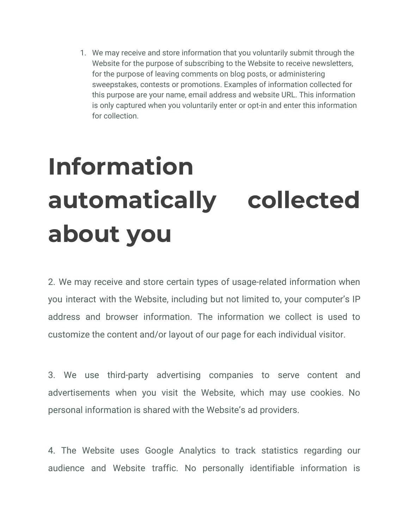1. We may receive and store information that you voluntarily submit through the Website for the purpose of subscribing to the Website to receive newsletters, for the purpose of leaving comments on blog posts, or administering sweepstakes, contests or promotions. Examples of information collected for this purpose are your name, email address and website URL. This information is only captured when you voluntarily enter or opt-in and enter this information for collection.

# **Information automatically collected about you**

2. We may receive and store certain types of usage-related information when you interact with the Website, including but not limited to, your computer's IP address and browser information. The information we collect is used to customize the content and/or layout of our page for each individual visitor.

3. We use third-party advertising companies to serve content and advertisements when you visit the Website, which may use cookies. No personal information is shared with the Website's ad providers.

4. The Website uses Google Analytics to track statistics regarding our audience and Website traffic. No personally identifiable information is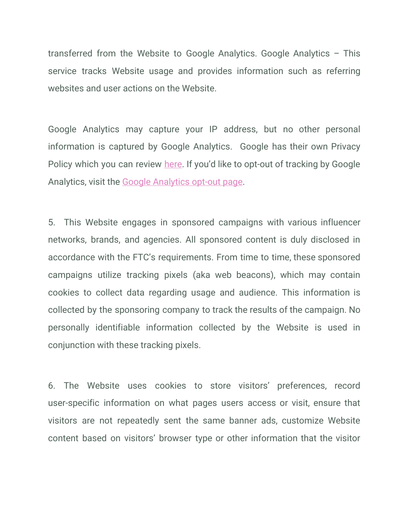transferred from the Website to Google Analytics. Google Analytics – This service tracks Website usage and provides information such as referring websites and user actions on the Website.

Google Analytics may capture your IP address, but no other personal information is captured by Google Analytics. Google has their own Privacy Policy which you can review [here](https://support.google.com/analytics/answer/6004245). If you'd like to opt-out of tracking by Google Analytics, visit the [Google Analytics opt-out page](https://tools.google.com/dlpage/gaoptout).

5. This Website engages in sponsored campaigns with various influencer networks, brands, and agencies. All sponsored content is duly disclosed in accordance with the FTC's requirements. From time to time, these sponsored campaigns utilize tracking pixels (aka web beacons), which may contain cookies to collect data regarding usage and audience. This information is collected by the sponsoring company to track the results of the campaign. No personally identifiable information collected by the Website is used in conjunction with these tracking pixels.

6. The Website uses cookies to store visitors' preferences, record user-specific information on what pages users access or visit, ensure that visitors are not repeatedly sent the same banner ads, customize Website content based on visitors' browser type or other information that the visitor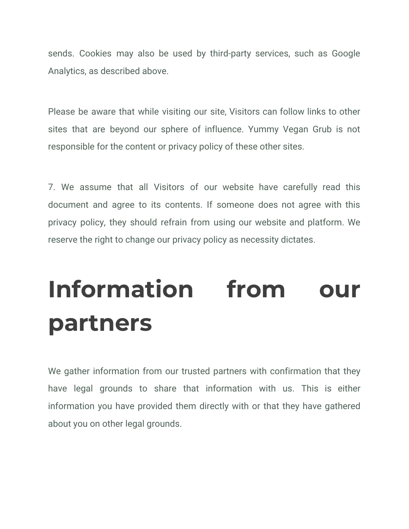sends. Cookies may also be used by third-party services, such as Google Analytics, as described above.

Please be aware that while visiting our site, Visitors can follow links to other sites that are beyond our sphere of influence. Yummy Vegan Grub is not responsible for the content or privacy policy of these other sites.

7. We assume that all Visitors of our website have carefully read this document and agree to its contents. If someone does not agree with this privacy policy, they should refrain from using our website and platform. We reserve the right to change our privacy policy as necessity dictates.

# **Information from our partners**

We gather information from our trusted partners with confirmation that they have legal grounds to share that information with us. This is either information you have provided them directly with or that they have gathered about you on other legal grounds.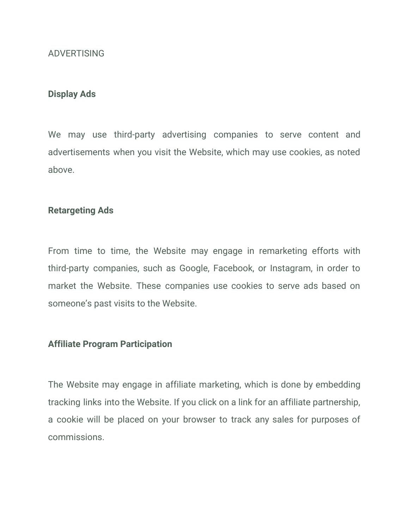#### ADVERTISING

#### **Display Ads**

We may use third-party advertising companies to serve content and advertisements when you visit the Website, which may use cookies, as noted above.

#### **Retargeting Ads**

From time to time, the Website may engage in remarketing efforts with third-party companies, such as Google, Facebook, or Instagram, in order to market the Website. These companies use cookies to serve ads based on someone's past visits to the Website.

#### **Affiliate Program Participation**

The Website may engage in affiliate marketing, which is done by embedding tracking links into the Website. If you click on a link for an affiliate partnership, a cookie will be placed on your browser to track any sales for purposes of commissions.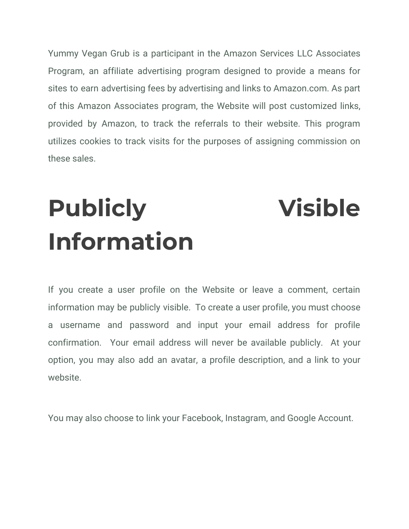Yummy Vegan Grub is a participant in the Amazon Services LLC Associates Program, an affiliate advertising program designed to provide a means for sites to earn advertising fees by advertising and links to Amazon.com. As part of this Amazon Associates program, the Website will post customized links, provided by Amazon, to track the referrals to their website. This program utilizes cookies to track visits for the purposes of assigning commission on these sales.

# **Publicly Visible Information**

If you create a user profile on the Website or leave a comment, certain information may be publicly visible. To create a user profile, you must choose a username and password and input your email address for profile confirmation. Your email address will never be available publicly. At your option, you may also add an avatar, a profile description, and a link to your website.

You may also choose to link your Facebook, Instagram, and Google Account.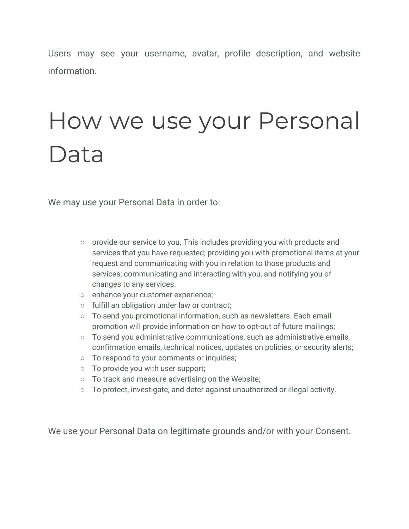Users may see your username, avatar, profile description, and website information.

## How we use your Personal Data

We may use your Personal Data in order to:

- provide our service to you. This includes providing you with products and services that you have requested; providing you with promotional items at your request and communicating with you in relation to those products and services; communicating and interacting with you, and notifying you of changes to any services.
- enhance your customer experience;
- fulfill an obligation under law or contract;
- To send you promotional information, such as newsletters. Each email promotion will provide information on how to opt-out of future mailings;
- To send you administrative communications, such as administrative emails, confirmation emails, technical notices, updates on policies, or security alerts;
- To respond to your comments or inquiries;
- To provide you with user support;
- To track and measure advertising on the Website;
- To protect, investigate, and deter against unauthorized or illegal activity.

We use your Personal Data on legitimate grounds and/or with your Consent.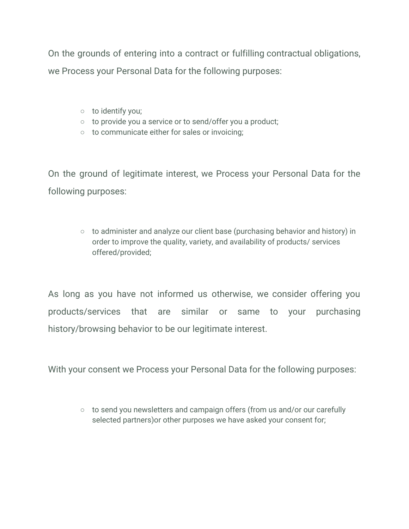On the grounds of entering into a contract or fulfilling contractual obligations, we Process your Personal Data for the following purposes:

- to identify you;
- to provide you a service or to send/offer you a product;
- to communicate either for sales or invoicing;

On the ground of legitimate interest, we Process your Personal Data for the following purposes:

> ○ to administer and analyze our client base (purchasing behavior and history) in order to improve the quality, variety, and availability of products/ services offered/provided;

As long as you have not informed us otherwise, we consider offering you products/services that are similar or same to your purchasing history/browsing behavior to be our legitimate interest.

With your consent we Process your Personal Data for the following purposes:

○ to send you newsletters and campaign offers (from us and/or our carefully selected partners)or other purposes we have asked your consent for;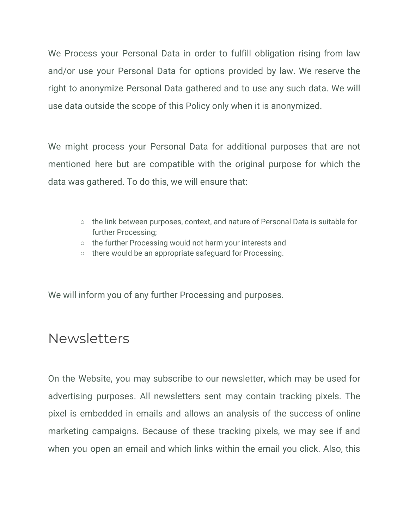We Process your Personal Data in order to fulfill obligation rising from law and/or use your Personal Data for options provided by law. We reserve the right to anonymize Personal Data gathered and to use any such data. We will use data outside the scope of this Policy only when it is anonymized.

We might process your Personal Data for additional purposes that are not mentioned here but are compatible with the original purpose for which the data was gathered. To do this, we will ensure that:

- the link between purposes, context, and nature of Personal Data is suitable for further Processing;
- the further Processing would not harm your interests and
- there would be an appropriate safeguard for Processing.

We will inform you of any further Processing and purposes.

### Newsletters

On the Website, you may subscribe to our newsletter, which may be used for advertising purposes. All newsletters sent may contain tracking pixels. The pixel is embedded in emails and allows an analysis of the success of online marketing campaigns. Because of these tracking pixels, we may see if and when you open an email and which links within the email you click. Also, this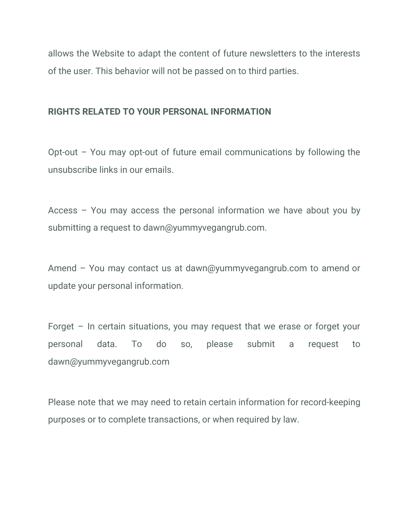allows the Website to adapt the content of future newsletters to the interests of the user. This behavior will not be passed on to third parties.

### **RIGHTS RELATED TO YOUR PERSONAL INFORMATION**

Opt-out – You may opt-out of future email communications by following the unsubscribe links in our emails.

Access – You may access the personal information we have about you by submitting a request to dawn@yummyvegangrub.com.

Amend – You may contact us at dawn@yummyvegangrub.com to amend or update your personal information.

Forget – In certain situations, you may request that we erase or forget your personal data. To do so, please submit a request to dawn@yummyvegangrub.com

Please note that we may need to retain certain information for record-keeping purposes or to complete transactions, or when required by law.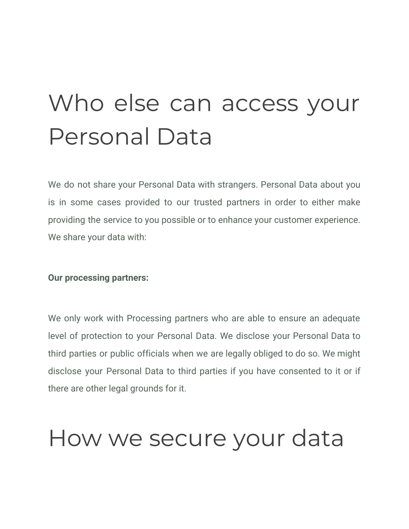## Who else can access your Personal Data

We do not share your Personal Data with strangers. Personal Data about you is in some cases provided to our trusted partners in order to either make providing the service to you possible or to enhance your customer experience. We share your data with:

#### **Our processing partners:**

We only work with Processing partners who are able to ensure an adequate level of protection to your Personal Data. We disclose your Personal Data to third parties or public officials when we are legally obliged to do so. We might disclose your Personal Data to third parties if you have consented to it or if there are other legal grounds for it.

## How we secure your data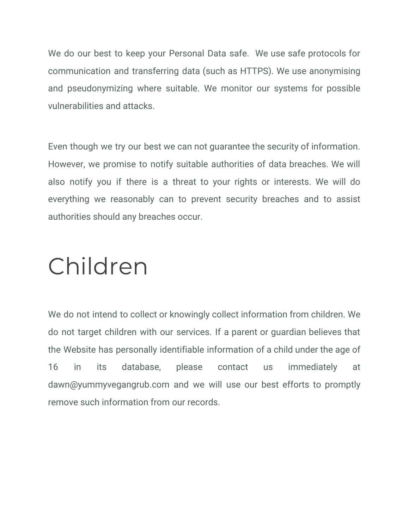We do our best to keep your Personal Data safe. We use safe protocols for communication and transferring data (such as HTTPS). We use anonymising and pseudonymizing where suitable. We monitor our systems for possible vulnerabilities and attacks.

Even though we try our best we can not guarantee the security of information. However, we promise to notify suitable authorities of data breaches. We will also notify you if there is a threat to your rights or interests. We will do everything we reasonably can to prevent security breaches and to assist authorities should any breaches occur.

## Children

We do not intend to collect or knowingly collect information from children. We do not target children with our services. If a parent or guardian believes that the Website has personally identifiable information of a child under the age of 16 in its database, please contact us immediately at dawn@yummyvegangrub.com and we will use our best efforts to promptly remove such information from our records.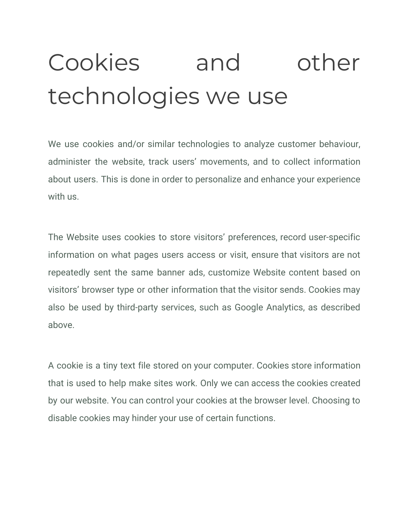# Cookies and other technologies we use

We use cookies and/or similar technologies to analyze customer behaviour, administer the website, track users' movements, and to collect information about users. This is done in order to personalize and enhance your experience with us.

The Website uses cookies to store visitors' preferences, record user-specific information on what pages users access or visit, ensure that visitors are not repeatedly sent the same banner ads, customize Website content based on visitors' browser type or other information that the visitor sends. Cookies may also be used by third-party services, such as Google Analytics, as described above.

A cookie is a tiny text file stored on your computer. Cookies store information that is used to help make sites work. Only we can access the cookies created by our website. You can control your cookies at the browser level. Choosing to disable cookies may hinder your use of certain functions.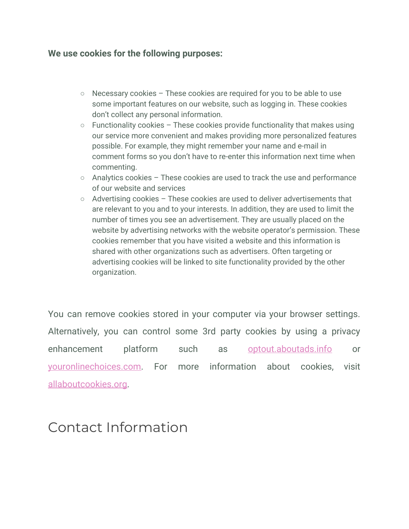#### **We use cookies for the following purposes:**

- Necessary cookies These cookies are required for you to be able to use some important features on our website, such as logging in. These cookies don't collect any personal information.
- $\circ$  Functionality cookies These cookies provide functionality that makes using our service more convenient and makes providing more personalized features possible. For example, they might remember your name and e-mail in comment forms so you don't have to re-enter this information next time when commenting.
- Analytics cookies These cookies are used to track the use and performance of our website and services
- Advertising cookies These cookies are used to deliver advertisements that are relevant to you and to your interests. In addition, they are used to limit the number of times you see an advertisement. They are usually placed on the website by advertising networks with the website operator's permission. These cookies remember that you have visited a website and this information is shared with other organizations such as advertisers. Often targeting or advertising cookies will be linked to site functionality provided by the other organization.

You can remove cookies stored in your computer via your browser settings. Alternatively, you can control some 3rd party cookies by using a privacy enhancement platform such as [optout.aboutads.info](http://optout.aboutads.info/#!/) or [youronlinechoices.com.](http://www.youronlinechoices.com/) For more information about cookies, visit [allaboutcookies.org](http://www.allaboutcookies.org/).

### Contact Information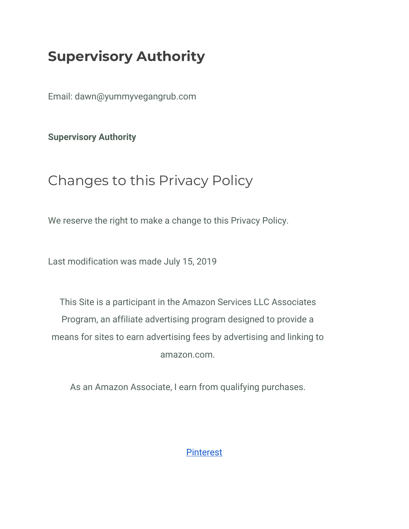### **Supervisory Authority**

Email: dawn@yummyvegangrub.com

**Supervisory Authority**

### Changes to this Privacy Policy

We reserve the right to make a change to this Privacy Policy.

Last modification was made July 15, 2019

This Site is a participant in the Amazon Services LLC Associates Program, an affiliate advertising program designed to provide a means for sites to earn advertising fees by advertising and linking to amazon.com.

As an Amazon Associate, I earn from qualifying purchases.

[Pinterest](http://www.pinterest.com/yummyvegangrub)